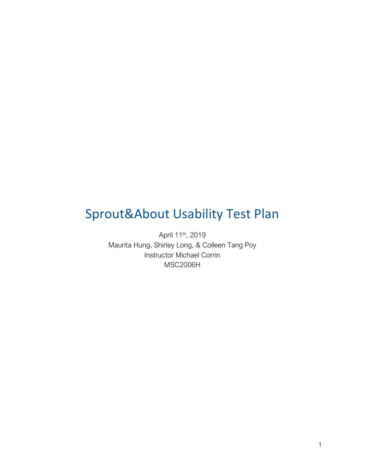# Sprout&About Usability Test Plan

April 11<sup>th</sup>, 2019 Maurita Hung, Shirley Long, & Colleen Tang Poy Instructor Michael Corrin MSC2006H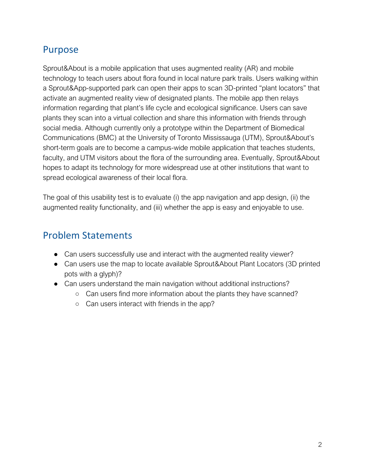### Purpose

Sprout&About is a mobile application that uses augmented reality (AR) and mobile technology to teach users about flora found in local nature park trails. Users walking within a Sprout&App-supported park can open their apps to scan 3D-printed "plant locators" that activate an augmented reality view of designated plants. The mobile app then relays information regarding that plant's life cycle and ecological significance. Users can save plants they scan into a virtual collection and share this information with friends through social media. Although currently only a prototype within the Department of Biomedical Communications (BMC) at the University of Toronto Mississauga (UTM), Sprout&About's short-term goals are to become a campus-wide mobile application that teaches students, faculty, and UTM visitors about the flora of the surrounding area. Eventually, Sprout&About hopes to adapt its technology for more widespread use at other institutions that want to spread ecological awareness of their local flora.

The goal of this usability test is to evaluate (i) the app navigation and app design, (ii) the augmented reality functionality, and (iii) whether the app is easy and enjoyable to use.

### Problem Statements

- Can users successfully use and interact with the augmented reality viewer?
- Can users use the map to locate available Sprout&About Plant Locators (3D printed pots with a glyph)?
- Can users understand the main navigation without additional instructions?
	- Can users find more information about the plants they have scanned?
	- Can users interact with friends in the app?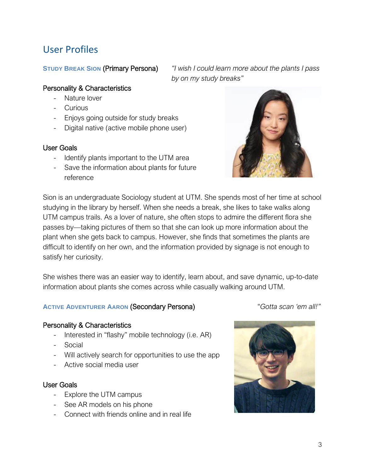### User Profiles

**STUDY BREAK SION** (Primary Persona) *"I wish I could learn more about the plants I pass by on my study breaks"*

#### Personality & Characteristics

- Nature lover
- Curious
- Enjoys going outside for study breaks
- Digital native (active mobile phone user)

#### User Goals

- Identify plants important to the UTM area
- Save the information about plants for future reference

Sion is an undergraduate Sociology student at UTM. She spends most of her time at school studying in the library by herself. When she needs a break, she likes to take walks along UTM campus trails. As a lover of nature, she often stops to admire the different flora she passes by—taking pictures of them so that she can look up more information about the plant when she gets back to campus. However, she finds that sometimes the plants are difficult to identify on her own, and the information provided by signage is not enough to satisfy her curiosity.

She wishes there was an easier way to identify, learn about, and save dynamic, up-to-date information about plants she comes across while casually walking around UTM.

#### **ACTIVE ADVENTURER AARON** (Secondary Persona) "*Gotta scan 'em all!"*

#### Personality & Characteristics

- Interested in "flashy" mobile technology (i.e. AR)
- **Social**
- Will actively search for opportunities to use the app
- Active social media user

#### User Goals

- Explore the UTM campus
- See AR models on his phone
- Connect with friends online and in real life





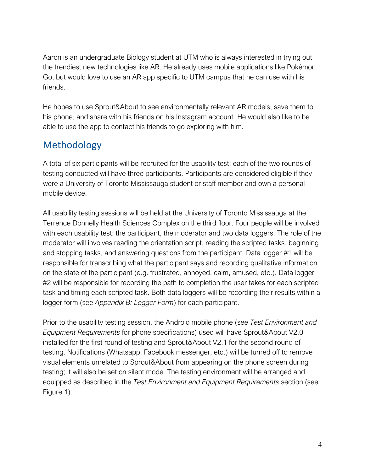Aaron is an undergraduate Biology student at UTM who is always interested in trying out the trendiest new technologies like AR. He already uses mobile applications like Pokémon Go, but would love to use an AR app specific to UTM campus that he can use with his friends.

He hopes to use Sprout&About to see environmentally relevant AR models, save them to his phone, and share with his friends on his Instagram account. He would also like to be able to use the app to contact his friends to go exploring with him.

### Methodology

A total of six participants will be recruited for the usability test; each of the two rounds of testing conducted will have three participants. Participants are considered eligible if they were a University of Toronto Mississauga student or staff member and own a personal mobile device.

All usability testing sessions will be held at the University of Toronto Mississauga at the Terrence Donnelly Health Sciences Complex on the third floor. Four people will be involved with each usability test: the participant, the moderator and two data loggers. The role of the moderator will involves reading the orientation script, reading the scripted tasks, beginning and stopping tasks, and answering questions from the participant. Data logger #1 will be responsible for transcribing what the participant says and recording qualitative information on the state of the participant (e.g. frustrated, annoyed, calm, amused, etc.). Data logger #2 will be responsible for recording the path to completion the user takes for each scripted task and timing each scripted task. Both data loggers will be recording their results within a logger form (see *Appendix B: Logger Form*) for each participant.

Prior to the usability testing session, the Android mobile phone (see *Test Environment and Equipment Requirements* for phone specifications) used will have Sprout&About V2.0 installed for the first round of testing and Sprout&About V2.1 for the second round of testing. Notifications (Whatsapp, Facebook messenger, etc.) will be turned off to remove visual elements unrelated to Sprout&About from appearing on the phone screen during testing; it will also be set on silent mode. The testing environment will be arranged and equipped as described in the *Test Environment and Equipment Requirements* section (see Figure 1).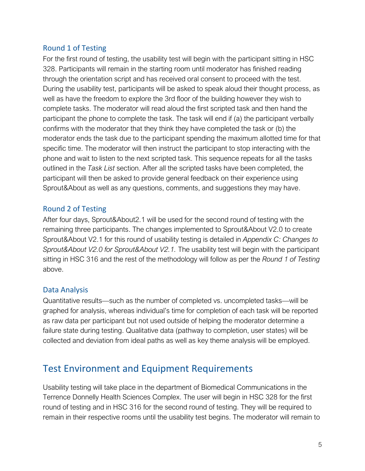#### Round 1 of Testing

For the first round of testing, the usability test will begin with the participant sitting in HSC 328. Participants will remain in the starting room until moderator has finished reading through the orientation script and has received oral consent to proceed with the test. During the usability test, participants will be asked to speak aloud their thought process, as well as have the freedom to explore the 3rd floor of the building however they wish to complete tasks. The moderator will read aloud the first scripted task and then hand the participant the phone to complete the task. The task will end if (a) the participant verbally confirms with the moderator that they think they have completed the task or (b) the moderator ends the task due to the participant spending the maximum allotted time for that specific time. The moderator will then instruct the participant to stop interacting with the phone and wait to listen to the next scripted task. This sequence repeats for all the tasks outlined in the *Task List* section. After all the scripted tasks have been completed, the participant will then be asked to provide general feedback on their experience using Sprout&About as well as any questions, comments, and suggestions they may have.

#### Round 2 of Testing

After four days, Sprout&About2.1 will be used for the second round of testing with the remaining three participants. The changes implemented to Sprout&About V2.0 to create Sprout&About V2.1 for this round of usability testing is detailed in *Appendix C: Changes to Sprout&About V2.0 for Sprout&About V2.1.* The usability test will begin with the participant sitting in HSC 316 and the rest of the methodology will follow as per the *Round 1 of Testing* above.

#### Data Analysis

Quantitative results—such as the number of completed vs. uncompleted tasks—will be graphed for analysis, whereas individual's time for completion of each task will be reported as raw data per participant but not used outside of helping the moderator determine a failure state during testing. Qualitative data (pathway to completion, user states) will be collected and deviation from ideal paths as well as key theme analysis will be employed.

### Test Environment and Equipment Requirements

Usability testing will take place in the department of Biomedical Communications in the Terrence Donnelly Health Sciences Complex. The user will begin in HSC 328 for the first round of testing and in HSC 316 for the second round of testing. They will be required to remain in their respective rooms until the usability test begins. The moderator will remain to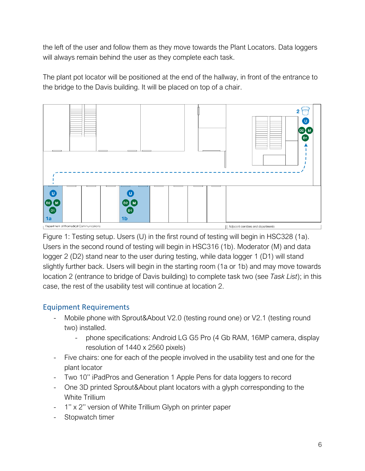the left of the user and follow them as they move towards the Plant Locators. Data loggers will always remain behind the user as they complete each task.

The plant pot locator will be positioned at the end of the hallway, in front of the entrance to the bridge to the Davis building. It will be placed on top of a chair.



Figure 1: Testing setup. Users (U) in the first round of testing will begin in HSC328 (1a). Users in the second round of testing will begin in HSC316 (1b). Moderator (M) and data logger 2 (D2) stand near to the user during testing, while data logger 1 (D1) will stand slightly further back. Users will begin in the starting room (1a or 1b) and may move towards location 2 (entrance to bridge of Davis building) to complete task two (see *Task List*); in this case, the rest of the usability test will continue at location 2.

#### Equipment Requirements

- Mobile phone with Sprout&About V2.0 (testing round one) or V2.1 (testing round two) installed.
	- phone specifications: Android LG G5 Pro (4 Gb RAM, 16MP camera, display resolution of 1440 x 2560 pixels)
- Five chairs: one for each of the people involved in the usability test and one for the plant locator
- Two 10'' iPadPros and Generation 1 Apple Pens for data loggers to record
- One 3D printed Sprout&About plant locators with a glyph corresponding to the White Trillium
- 1'' x 2'' version of White Trillium Glyph on printer paper
- Stopwatch timer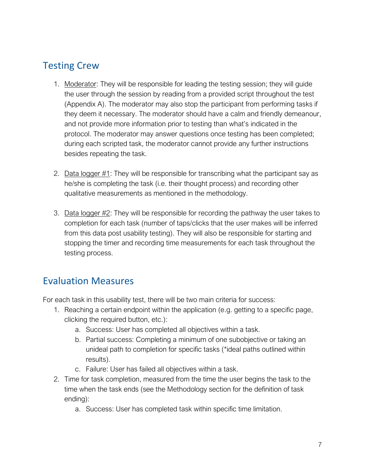### Testing Crew

- 1. Moderator: They will be responsible for leading the testing session; they will guide the user through the session by reading from a provided script throughout the test (Appendix A). The moderator may also stop the participant from performing tasks if they deem it necessary. The moderator should have a calm and friendly demeanour, and not provide more information prior to testing than what's indicated in the protocol. The moderator may answer questions once testing has been completed; during each scripted task, the moderator cannot provide any further instructions besides repeating the task.
- 2. Data logger #1: They will be responsible for transcribing what the participant say as he/she is completing the task (i.e. their thought process) and recording other qualitative measurements as mentioned in the methodology.
- 3. Data logger #2: They will be responsible for recording the pathway the user takes to completion for each task (number of taps/clicks that the user makes will be inferred from this data post usability testing). They will also be responsible for starting and stopping the timer and recording time measurements for each task throughout the testing process.

### Evaluation Measures

For each task in this usability test, there will be two main criteria for success:

- 1. Reaching a certain endpoint within the application (e.g. getting to a specific page, clicking the required button, etc.):
	- a. Success: User has completed all objectives within a task.
	- b. Partial success: Completing a minimum of one subobjective or taking an unideal path to completion for specific tasks (\*ideal paths outlined within results).
	- c. Failure: User has failed all objectives within a task.
- 2. Time for task completion, measured from the time the user begins the task to the time when the task ends (see the Methodology section for the definition of task ending):
	- a. Success: User has completed task within specific time limitation.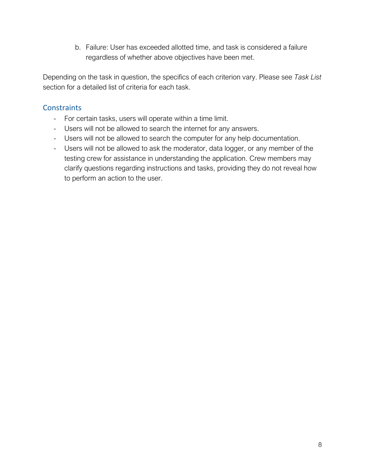b. Failure: User has exceeded allotted time, and task is considered a failure regardless of whether above objectives have been met.

Depending on the task in question, the specifics of each criterion vary. Please see *Task List* section for a detailed list of criteria for each task.

#### **Constraints**

- For certain tasks, users will operate within a time limit.
- Users will not be allowed to search the internet for any answers.
- Users will not be allowed to search the computer for any help documentation.
- Users will not be allowed to ask the moderator, data logger, or any member of the testing crew for assistance in understanding the application. Crew members may clarify questions regarding instructions and tasks, providing they do not reveal how to perform an action to the user.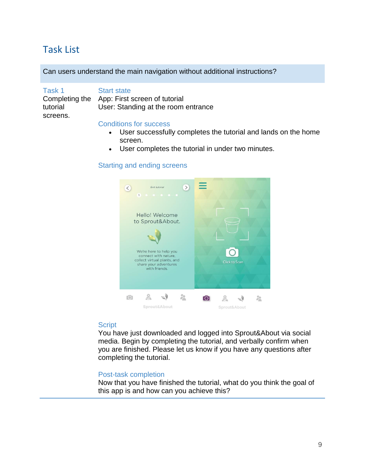### Task List

Can users understand the main navigation without additional instructions?

Task 1 Completing the tutorial screens. Start state App: First screen of tutorial User: Standing at the room entrance

#### Conditions for success

- User successfully completes the tutorial and lands on the home screen.
- User completes the tutorial in under two minutes.

#### Starting and ending screens



#### **Script**

You have just downloaded and logged into Sprout&About via social media. Begin by completing the tutorial, and verbally confirm when you are finished. Please let us know if you have any questions after completing the tutorial.

#### Post-task completion

Now that you have finished the tutorial, what do you think the goal of this app is and how can you achieve this?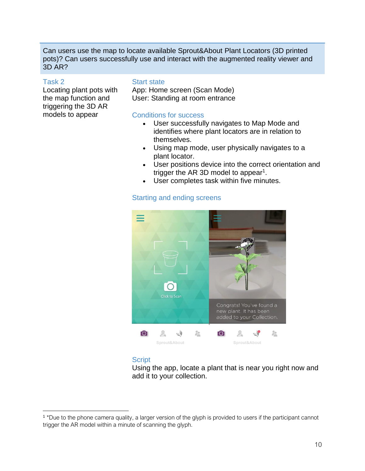Can users use the map to locate available Sprout&About Plant Locators (3D printed pots)? Can users successfully use and interact with the augmented reality viewer and 3D AR?

#### Task 2

 $\overline{a}$ 

Locating plant pots with the map function and triggering the 3D AR models to appear

#### Start state

App: Home screen (Scan Mode) User: Standing at room entrance

#### Conditions for success

- User successfully navigates to Map Mode and identifies where plant locators are in relation to themselves.
- Using map mode, user physically navigates to a plant locator.
- User positions device into the correct orientation and trigger the AR 3D model to appear<sup>1</sup>.
- User completes task within five minutes.



#### Starting and ending screens

#### **Script**

Using the app, locate a plant that is near you right now and add it to your collection.

<sup>&</sup>lt;sup>1</sup> \*Due to the phone camera quality, a larger version of the glyph is provided to users if the participant cannot trigger the AR model within a minute of scanning the glyph.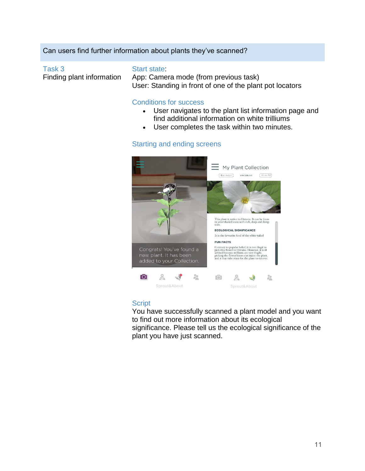#### Can users find further information about plants they've scanned?

#### Task 3

Finding plant information

#### Start state:

App: Camera mode (from previous task) User: Standing in front of one of the plant pot locators

#### Conditions for success

- User navigates to the plant list information page and find additional information on white trilliums
- User completes the task within two minutes.

#### Starting and ending screens



#### **Script**

You have successfully scanned a plant model and you want to find out more information about its ecological significance. Please tell us the ecological significance of the plant you have just scanned.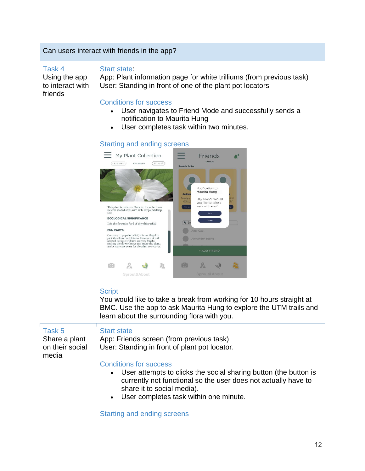#### Can users interact with friends in the app?

Task 4

friends

#### Start state:

Using the app to interact with App: Plant information page for white trilliums (from previous task) User: Standing in front of one of the plant pot locators

#### Conditions for success

- User navigates to Friend Mode and successfully sends a notification to Maurita Hung
- User completes task within two minutes.

#### Starting and ending screens



#### **Script**

You would like to take a break from working for 10 hours straight at BMC. Use the app to ask Maurita Hung to explore the UTM trails and learn about the surrounding flora with you.

| Task 5<br>Share a plant<br>on their social<br>media | <b>Start state</b><br>App: Friends screen (from previous task)<br>User: Standing in front of plant pot locator.                                                                                                                                 |
|-----------------------------------------------------|-------------------------------------------------------------------------------------------------------------------------------------------------------------------------------------------------------------------------------------------------|
|                                                     | <b>Conditions for success</b><br>• User attempts to clicks the social sharing button (the button is<br>currently not functional so the user does not actually have to<br>share it to social media).<br>• User completes task within one minute. |

#### Starting and ending screens

٦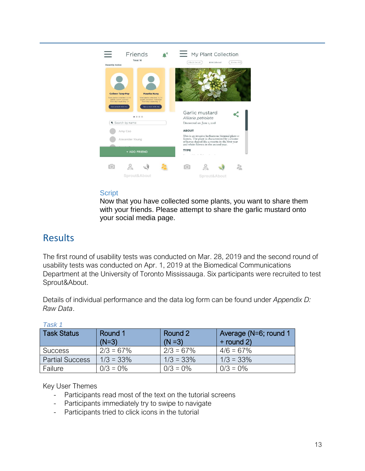

#### **Script**

Now that you have collected some plants, you want to share them with your friends. Please attempt to share the garlic mustard onto your social media page.

### **Results**

The first round of usability tests was conducted on Mar. 28, 2019 and the second round of usability tests was conducted on Apr. 1, 2019 at the Biomedical Communications Department at the University of Toronto Mississauga. Six participants were recruited to test Sprout&About.

Details of individual performance and the data log form can be found under *Appendix D: Raw Data*.

| <b>Task Status</b>     | Round 1<br>$(N=3)$ | Round 2<br>$(N = 3)$ | Average (N=6; round 1<br>$+$ round 2) |
|------------------------|--------------------|----------------------|---------------------------------------|
| <b>Success</b>         | $2/3 = 67\%$       | $2/3 = 67\%$         | $4/6 = 67\%$                          |
| <b>Partial Success</b> | $1/3 = 33\%$       | $1/3 = 33\%$         | $1/3 = 33\%$                          |
| Failure                | $0/3 = 0\%$        | $0/3 = 0\%$          | $0/3 = 0\%$                           |

#### *Task 1*

#### Key User Themes

- Participants read most of the text on the tutorial screens
- Participants immediately try to swipe to navigate
- Participants tried to click icons in the tutorial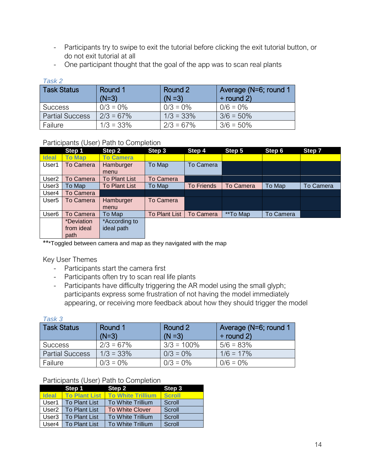- Participants try to swipe to exit the tutorial before clicking the exit tutorial button, or do not exit tutorial at all
- One participant thought that the goal of the app was to scan real plants

| Task 2                 |              |              |                       |  |  |
|------------------------|--------------|--------------|-----------------------|--|--|
| <b>Task Status</b>     | Round 1      | Round 2      | Average (N=6; round 1 |  |  |
|                        | $(N=3)$      | $(N = 3)$    | $+$ round 2)          |  |  |
| <b>Success</b>         | $0/3 = 0\%$  | $0/3 = 0\%$  | $0/6 = 0\%$           |  |  |
| <b>Partial Success</b> | $2/3 = 67\%$ | $1/3 = 33\%$ | $3/6 = 50\%$          |  |  |
| Failure                | $1/3 = 33\%$ | $2/3 = 67\%$ | $3/6 = 50\%$          |  |  |

### Participants (User) Path to Completion

|                   | Step 1            | Step 2               | Step 3               | Step 4            | Step 5           | Step 6    | Step 7           |
|-------------------|-------------------|----------------------|----------------------|-------------------|------------------|-----------|------------------|
| <b>Ideal</b>      | <b>To Map</b>     | <b>To Camera</b>     |                      |                   |                  |           |                  |
| User1             | To Camera         | Hamburger            | To Map               | To Camera         |                  |           |                  |
|                   |                   | menu                 |                      |                   |                  |           |                  |
| User <sub>2</sub> | To Camera         | <b>To Plant List</b> | To Camera            |                   |                  |           |                  |
| User <sub>3</sub> | To Map            | <b>To Plant List</b> | To Map               | <b>To Friends</b> | <b>To Camera</b> | To Map    | <b>To Camera</b> |
| User4             | <b>To Camera</b>  |                      |                      |                   |                  |           |                  |
| User <sub>5</sub> | To Camera         | Hamburger            | To Camera            |                   |                  |           |                  |
|                   |                   | menu                 |                      |                   |                  |           |                  |
| User <sub>6</sub> | <b>To Camera</b>  | To Map               | <b>To Plant List</b> | <b>To Camera</b>  | **To Map         | To Camera |                  |
|                   | <i>*Deviation</i> | *According to        |                      |                   |                  |           |                  |
|                   | from ideal        | ideal path           |                      |                   |                  |           |                  |
|                   | path              |                      |                      |                   |                  |           |                  |

\*\*\*Toggled between camera and map as they navigated with the map

Key User Themes

- Participants start the camera first
- Participants often try to scan real life plants
- Participants have difficulty triggering the AR model using the small glyph; participants express some frustration of not having the model immediately appearing, or receiving more feedback about how they should trigger the model

| Task 3                 |                    |                      |                                       |  |  |
|------------------------|--------------------|----------------------|---------------------------------------|--|--|
| <b>Task Status</b>     | Round 1<br>$(N=3)$ | Round 2<br>$(N = 3)$ | Average (N=6; round 1<br>$+$ round 2) |  |  |
| <b>Success</b>         | $2/3 = 67\%$       | $3/3 = 100\%$        | $5/6 = 83%$                           |  |  |
| <b>Partial Success</b> | $1/3 = 33\%$       | $0/3 = 0\%$          | $1/6 = 17\%$                          |  |  |
| Failure                | $0/3 = 0\%$        | $0/3 = 0\%$          | $0/6 = 0\%$                           |  |  |

#### Participants (User) Path to Completion

|                   | Step 1               | Step 2                   | Step 3        |
|-------------------|----------------------|--------------------------|---------------|
| <b>Ideal</b>      | <b>To Plant List</b> | <b>To White Trillium</b> | <b>Scroll</b> |
| User1             | To Plant List        | To White Trillium        | Scroll        |
| User2             | To Plant List        | To White Clover          | Scroll        |
| User <sub>3</sub> | To Plant List        | To White Trillium        | Scroll        |
| User4             | To Plant List        | To White Trillium        | Scroll        |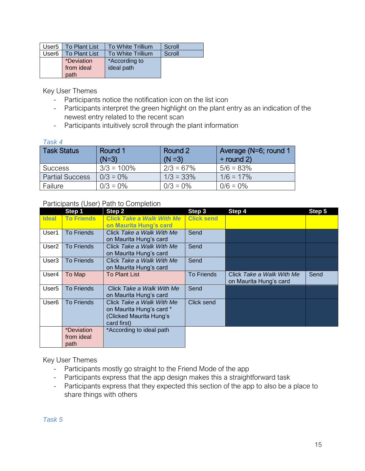|                   | User <sub>5</sub>   To Plant List | To White Trillium | Scroll |
|-------------------|-----------------------------------|-------------------|--------|
| User <sub>6</sub> | To Plant List                     | To White Trillium | Scroll |
|                   | <i>*Deviation</i>                 | *According to     |        |
|                   | from ideal                        | ideal path        |        |
|                   | path                              |                   |        |

Key User Themes

- Participants notice the notification icon on the list icon
- Participants interpret the green highlight on the plant entry as an indication of the newest entry related to the recent scan
- Participants intuitively scroll through the plant information

#### *Task 4*

| <b>Task Status</b>     | Round 1<br>$(N=3)$ | Round 2<br>$(N = 3)$ | Average (N=6; round 1<br>$+$ round 2) |
|------------------------|--------------------|----------------------|---------------------------------------|
| <b>Success</b>         | $3/3 = 100\%$      | $2/3 = 67\%$         | $5/6 = 83\%$                          |
| <b>Partial Success</b> | $0/3 = 0\%$        | $1/3 = 33\%$         | $1/6 = 17\%$                          |
| Failure                | $0/3 = 0\%$        | $0/3 = 0\%$          | $0/6 = 0\%$                           |

#### Participants (User) Path to Completion

|                   | Step 1            | Step 2                           | Step 3            | Step 4                    | Step 5 |
|-------------------|-------------------|----------------------------------|-------------------|---------------------------|--------|
| <b>Ideal</b>      | <b>To Friends</b> | <b>Click Take a Walk With Me</b> | <b>Click send</b> |                           |        |
|                   |                   | on Maurita Hung's card           |                   |                           |        |
| User1             | <b>To Friends</b> | Click Take a Walk With Me        | Send              |                           |        |
|                   |                   | on Maurita Hung's card           |                   |                           |        |
| User <sub>2</sub> | <b>To Friends</b> | Click Take a Walk With Me        | Send              |                           |        |
|                   |                   | on Maurita Hung's card           |                   |                           |        |
| User <sub>3</sub> | <b>To Friends</b> | Click Take a Walk With Me        | Send              |                           |        |
|                   |                   | on Maurita Hung's card           |                   |                           |        |
| User4             | To Map            | <b>To Plant List</b>             | <b>To Friends</b> | Click Take a Walk With Me | Send   |
|                   |                   |                                  |                   | on Maurita Hung's card    |        |
| User <sub>5</sub> | <b>To Friends</b> | Click Take a Walk With Me        | Send              |                           |        |
|                   |                   | on Maurita Hung's card           |                   |                           |        |
| User <sub>6</sub> | <b>To Friends</b> | Click Take a Walk With Me        | Click send        |                           |        |
|                   |                   | on Maurita Hung's card *         |                   |                           |        |
|                   |                   | (Clicked Maurita Hung's          |                   |                           |        |
|                   |                   | card first)                      |                   |                           |        |
|                   | *Deviation        | *According to ideal path         |                   |                           |        |
|                   | from ideal        |                                  |                   |                           |        |
|                   | path              |                                  |                   |                           |        |

Key User Themes

- Participants mostly go straight to the Friend Mode of the app
- Participants express that the app design makes this a straightforward task
- Participants express that they expected this section of the app to also be a place to share things with others

*Task 5*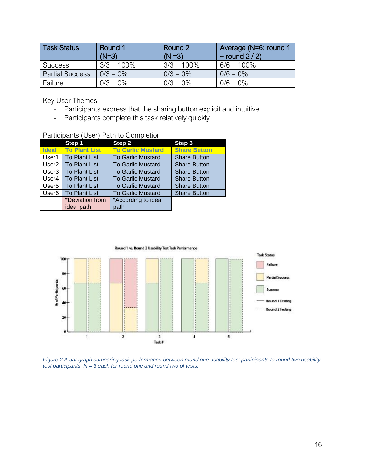| <b>Task Status</b>     | Round 1<br>$(N=3)$ | Round 2<br>$(N = 3)$ | Average (N=6; round 1<br>$+$ round 2 / 2) |
|------------------------|--------------------|----------------------|-------------------------------------------|
| <b>Success</b>         | $3/3 = 100\%$      | $3/3 = 100\%$        | $6/6 = 100\%$                             |
| <b>Partial Success</b> | $0/3 = 0\%$        | $0/3 = 0\%$          | $0/6 = 0\%$                               |
| Failure                | $0/3 = 0\%$        | $0/3 = 0\%$          | $0/6 = 0\%$                               |

Key User Themes

- Participants express that the sharing button explicit and intuitive
- Participants complete this task relatively quickly

| <u>l alucipalits (OSEI) Latif to Completion</u> |                      |                          |                     |
|-------------------------------------------------|----------------------|--------------------------|---------------------|
|                                                 | Step 1               | Step 2                   | Step 3              |
| <b>Ideal</b>                                    | <b>To Plant List</b> | <b>To Garlic Mustard</b> | <b>Share Button</b> |
| User1                                           | <b>To Plant List</b> | <b>To Garlic Mustard</b> | <b>Share Button</b> |
| User <sub>2</sub>                               | <b>To Plant List</b> | <b>To Garlic Mustard</b> | <b>Share Button</b> |
| User <sub>3</sub>                               | <b>To Plant List</b> | <b>To Garlic Mustard</b> | <b>Share Button</b> |
| User <sub>4</sub>                               | <b>To Plant List</b> | <b>To Garlic Mustard</b> | <b>Share Button</b> |
| User <sub>5</sub>                               | <b>To Plant List</b> | <b>To Garlic Mustard</b> | <b>Share Button</b> |
| User <sub>6</sub>                               | <b>To Plant List</b> | <b>To Garlic Mustard</b> | <b>Share Button</b> |
|                                                 | *Deviation from      | *According to ideal      |                     |
|                                                 | ideal path           | path                     |                     |

Participants (User) Path to Completion



*Figure 2 A bar graph comparing task performance between round one usability test participants to round two usability test participants. N = 3 each for round one and round two of tests..*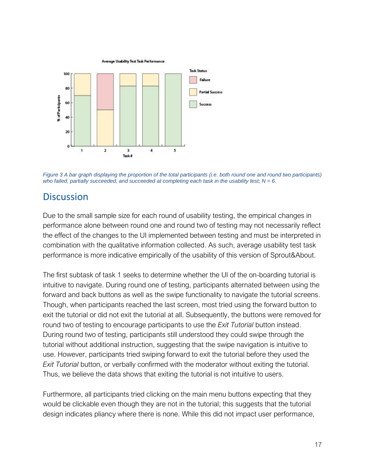

*Figure 3 A bar graph displaying the proportion of the total participants (i.e. both round one and round two participants) who failed, partially succeeded, and succeeded at completing each task in the usability test; N = 6.*

### **Discussion**

Due to the small sample size for each round of usability testing, the empirical changes in performance alone between round one and round two of testing may not necessarily reflect the effect of the changes to the UI implemented between testing and must be interpreted in combination with the qualitative information collected. As such, average usability test task performance is more indicative empirically of the usability of this version of Sprout&About.

The first subtask of task 1 seeks to determine whether the UI of the on-boarding tutorial is intuitive to navigate. During round one of testing, participants alternated between using the forward and back buttons as well as the swipe functionality to navigate the tutorial screens. Though, when participants reached the last screen, most tried using the forward button to exit the tutorial or did not exit the tutorial at all. Subsequently, the buttons were removed for round two of testing to encourage participants to use the *Exit Tutorial* button instead. During round two of testing, participants still understood they could swipe through the tutorial without additional instruction, suggesting that the swipe navigation is intuitive to use. However, participants tried swiping forward to exit the tutorial before they used the *Exit Tutorial* button, or verbally confirmed with the moderator without exiting the tutorial. Thus, we believe the data shows that exiting the tutorial is not intuitive to users.

Furthermore, all participants tried clicking on the main menu buttons expecting that they would be clickable even though they are not in the tutorial; this suggests that the tutorial design indicates pliancy where there is none. While this did not impact user performance,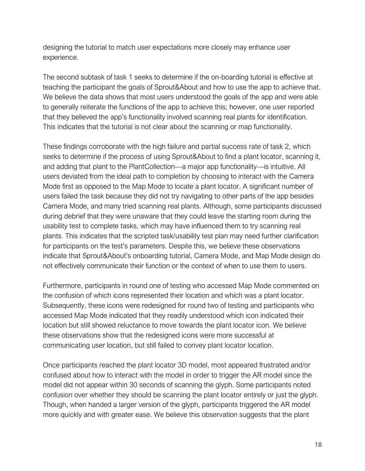designing the tutorial to match user expectations more closely may enhance user experience.

The second subtask of task 1 seeks to determine if the on-boarding tutorial is effective at teaching the participant the goals of Sprout&About and how to use the app to achieve that. We believe the data shows that most users understood the goals of the app and were able to generally reiterate the functions of the app to achieve this; however, one user reported that they believed the app's functionality involved scanning real plants for identification. This indicates that the tutorial is not clear about the scanning or map functionality.

These findings corroborate with the high failure and partial success rate of task 2, which seeks to determine if the process of using Sprout&About to find a plant locator, scanning it, and adding that plant to the PlantCollection—a major app functionality—is intuitive. All users deviated from the ideal path to completion by choosing to interact with the Camera Mode first as opposed to the Map Mode to locate a plant locator. A significant number of users failed the task because they did not try navigating to other parts of the app besides Camera Mode, and many tried scanning real plants. Although, some participants discussed during debrief that they were unaware that they could leave the starting room during the usability test to complete tasks, which may have influenced them to try scanning real plants. This indicates that the scripted task/usability test plan may need further clarification for participants on the test's parameters. Despite this, we believe these observations indicate that Sprout&About's onboarding tutorial, Camera Mode, and Map Mode design do not effectively communicate their function or the context of when to use them to users.

Furthermore, participants in round one of testing who accessed Map Mode commented on the confusion of which icons represented their location and which was a plant locator. Subsequently, these icons were redesigned for round two of testing and participants who accessed Map Mode indicated that they readily understood which icon indicated their location but still showed reluctance to move towards the plant locator icon. We believe these observations show that the redesigned icons were more successful at communicating user location, but still failed to convey plant locator location.

Once participants reached the plant locator 3D model, most appeared frustrated and/or confused about how to interact with the model in order to trigger the AR model since the model did not appear within 30 seconds of scanning the glyph. Some participants noted confusion over whether they should be scanning the plant locator entirely or just the glyph. Though, when handed a larger version of the glyph, participants triggered the AR model more quickly and with greater ease. We believe this observation suggests that the plant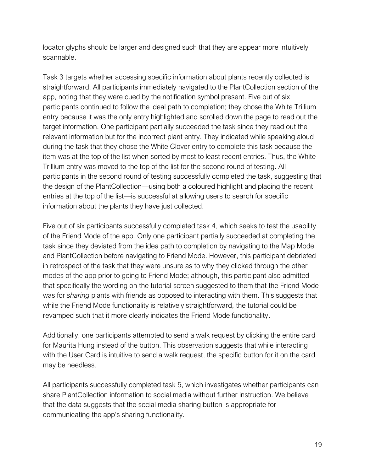locator glyphs should be larger and designed such that they are appear more intuitively scannable.

Task 3 targets whether accessing specific information about plants recently collected is straightforward. All participants immediately navigated to the PlantCollection section of the app, noting that they were cued by the notification symbol present. Five out of six participants continued to follow the ideal path to completion; they chose the White Trillium entry because it was the only entry highlighted and scrolled down the page to read out the target information. One participant partially succeeded the task since they read out the relevant information but for the incorrect plant entry. They indicated while speaking aloud during the task that they chose the White Clover entry to complete this task because the item was at the top of the list when sorted by most to least recent entries. Thus, the White Trillium entry was moved to the top of the list for the second round of testing. All participants in the second round of testing successfully completed the task, suggesting that the design of the PlantCollection—using both a coloured highlight and placing the recent entries at the top of the list—is successful at allowing users to search for specific information about the plants they have just collected.

Five out of six participants successfully completed task 4, which seeks to test the usability of the Friend Mode of the app. Only one participant partially succeeded at completing the task since they deviated from the idea path to completion by navigating to the Map Mode and PlantCollection before navigating to Friend Mode. However, this participant debriefed in retrospect of the task that they were unsure as to why they clicked through the other modes of the app prior to going to Friend Mode; although, this participant also admitted that specifically the wording on the tutorial screen suggested to them that the Friend Mode was for *sharing* plants with friends as opposed to interacting with them. This suggests that while the Friend Mode functionality is relatively straightforward, the tutorial could be revamped such that it more clearly indicates the Friend Mode functionality.

Additionally, one participants attempted to send a walk request by clicking the entire card for Maurita Hung instead of the button. This observation suggests that while interacting with the User Card is intuitive to send a walk request, the specific button for it on the card may be needless.

All participants successfully completed task 5, which investigates whether participants can share PlantCollection information to social media without further instruction. We believe that the data suggests that the social media sharing button is appropriate for communicating the app's sharing functionality.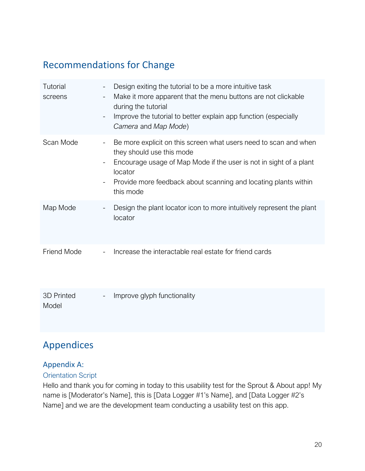## Recommendations for Change

| Tutorial<br>screens | $\overline{\phantom{a}}$<br>$\overline{\phantom{a}}$      | Design exiting the tutorial to be a more intuitive task<br>Make it more apparent that the menu buttons are not clickable<br>during the tutorial<br>Improve the tutorial to better explain app function (especially<br>Camera and Map Mode)                     |
|---------------------|-----------------------------------------------------------|----------------------------------------------------------------------------------------------------------------------------------------------------------------------------------------------------------------------------------------------------------------|
| Scan Mode           | -<br>$\overline{\phantom{a}}$<br>$\overline{\phantom{a}}$ | Be more explicit on this screen what users need to scan and when<br>they should use this mode<br>Encourage usage of Map Mode if the user is not in sight of a plant<br>locator<br>Provide more feedback about scanning and locating plants within<br>this mode |
| Map Mode            | $\overline{\phantom{a}}$                                  | Design the plant locator icon to more intuitively represent the plant<br>locator                                                                                                                                                                               |
| <b>Friend Mode</b>  |                                                           | Increase the interactable real estate for friend cards                                                                                                                                                                                                         |
| 3D Printed<br>Model | $\overline{\phantom{a}}$                                  | Improve glyph functionality                                                                                                                                                                                                                                    |

### Appendices

#### Appendix A:

#### Orientation Script

Hello and thank you for coming in today to this usability test for the Sprout & About app! My name is [Moderator's Name], this is [Data Logger #1's Name], and [Data Logger #2's Name] and we are the development team conducting a usability test on this app.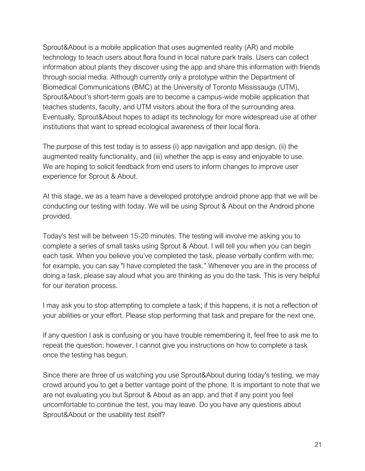Sprout&About is a mobile application that uses augmented reality (AR) and mobile technology to teach users about flora found in local nature park trails. Users can collect information about plants they discover using the app and share this information with friends through social media. Although currently only a prototype within the Department of Biomedical Communications (BMC) at the University of Toronto Mississauga (UTM), Sprout&About's short-term goals are to become a campus-wide mobile application that teaches students, faculty, and UTM visitors about the flora of the surrounding area. Eventually, Sprout&About hopes to adapt its technology for more widespread use at other institutions that want to spread ecological awareness of their local flora.

The purpose of this test today is to assess (i) app navigation and app design, (ii) the augmented reality functionality, and (iii) whether the app is easy and enjoyable to use. We are hoping to solicit feedback from end users to inform changes to improve user experience for Sprout & About.

At this stage, we as a team have a developed prototype android phone app that we will be conducting our testing with today. We will be using Sprout & About on the Android phone provided.

Today's test will be between 15-20 minutes. The testing will involve me asking you to complete a series of small tasks using Sprout & About. I will tell you when you can begin each task. When you believe you've completed the task, please verbally confirm with me; for example, you can say "I have completed the task." Whenever you are in the process of doing a task, please say aloud what you are thinking as you do the task. This is very helpful for our iteration process.

I may ask you to stop attempting to complete a task; if this happens, it is not a reflection of your abilities or your effort. Please stop performing that task and prepare for the next one.

If any question I ask is confusing or you have trouble remembering it, feel free to ask me to repeat the question; however, I cannot give you instructions on how to complete a task once the testing has begun.

Since there are three of us watching you use Sprout&About during today's testing, we may crowd around you to get a better vantage point of the phone. It is important to note that we are not evaluating you but Sprout & About as an app, and that if any point you feel uncomfortable to continue the test, you may leave. Do you have any questions about Sprout&About or the usability test itself?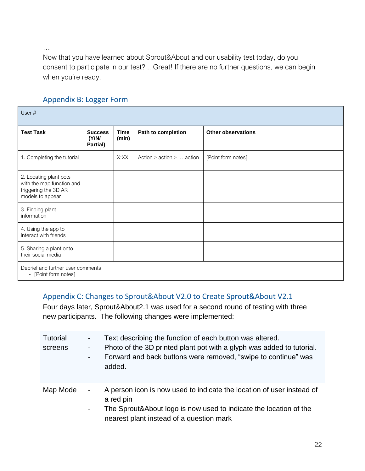…

Now that you have learned about Sprout&About and our usability test today, do you consent to participate in our test? ...Great! If there are no further questions, we can begin when you're ready.

| User#                                                                                           |                                     |                      |                          |                           |
|-------------------------------------------------------------------------------------------------|-------------------------------------|----------------------|--------------------------|---------------------------|
| <b>Test Task</b>                                                                                | <b>Success</b><br>(Y/N)<br>Partial) | <b>Time</b><br>(min) | Path to completion       | <b>Other observations</b> |
| 1. Completing the tutorial                                                                      |                                     | X:XX                 | Action > action > action | [Point form notes]        |
| 2. Locating plant pots<br>with the map function and<br>triggering the 3D AR<br>models to appear |                                     |                      |                          |                           |
| 3. Finding plant<br>information                                                                 |                                     |                      |                          |                           |
| 4. Using the app to<br>interact with friends                                                    |                                     |                      |                          |                           |
| 5. Sharing a plant onto<br>their social media                                                   |                                     |                      |                          |                           |
| Debrief and further user comments<br>[Point form notes]<br>-                                    |                                     |                      |                          |                           |

### Appendix B: Logger Form

#### Appendix C: Changes to Sprout&About V2.0 to Create Sprout&About V2.1

Four days later, Sprout&About2.1 was used for a second round of testing with three new participants. The following changes were implemented:

| <b>Tutorial</b><br>screens | $\blacksquare$<br>$\blacksquare$ | Text describing the function of each button was altered.<br>Photo of the 3D printed plant pot with a glyph was added to tutorial.<br>Forward and back buttons were removed, "swipe to continue" was<br>added. |
|----------------------------|----------------------------------|---------------------------------------------------------------------------------------------------------------------------------------------------------------------------------------------------------------|
| Map Mode                   | $\blacksquare$<br>$\blacksquare$ | A person icon is now used to indicate the location of user instead of<br>a red pin<br>The Sprout&About logo is now used to indicate the location of the<br>nearest plant instead of a question mark           |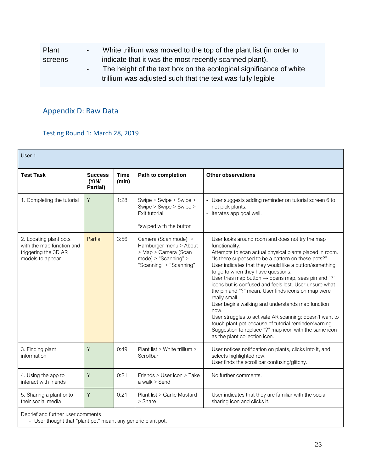| Plant   | $ -$       | White trillium was moved to the top of the plant list (in order to |
|---------|------------|--------------------------------------------------------------------|
| screens |            | indicate that it was the most recently scanned plant).             |
|         | $\sim 100$ | The height of the text box on the ecological significance of white |
|         |            | trillium was adjusted such that the text was fully legible         |

### Appendix D: Raw Data

#### Testing Round 1: March 28, 2019

| User 1                                                                                          |                                     |                      |                                                                                                                              |                                                                                                                                                                                                                                                                                                                                                                                                                                                                                                                                                                                                                                                                                                                                                                  |  |
|-------------------------------------------------------------------------------------------------|-------------------------------------|----------------------|------------------------------------------------------------------------------------------------------------------------------|------------------------------------------------------------------------------------------------------------------------------------------------------------------------------------------------------------------------------------------------------------------------------------------------------------------------------------------------------------------------------------------------------------------------------------------------------------------------------------------------------------------------------------------------------------------------------------------------------------------------------------------------------------------------------------------------------------------------------------------------------------------|--|
| <b>Test Task</b>                                                                                | <b>Success</b><br>(Y/N)<br>Partial) | <b>Time</b><br>(min) | Path to completion                                                                                                           | <b>Other observations</b>                                                                                                                                                                                                                                                                                                                                                                                                                                                                                                                                                                                                                                                                                                                                        |  |
| 1. Completing the tutorial                                                                      | Y                                   | 1:28                 | Swipe > Swipe > Swipe ><br>Swipe > Swipe > Swipe ><br>Exit tutorial<br>*swiped with the button                               | User suggests adding reminder on tutorial screen 6 to<br>not pick plants.<br>Iterates app goal well.                                                                                                                                                                                                                                                                                                                                                                                                                                                                                                                                                                                                                                                             |  |
| 2. Locating plant pots<br>with the map function and<br>triggering the 3D AR<br>models to appear | Partial                             | 3:56                 | Camera (Scan mode) ><br>Hamburger menu > About<br>> Map > Camera (Scan<br>$mode$ ) > "Scanning" ><br>"Scanning" > "Scanning" | User looks around room and does not try the map<br>functionality.<br>Attempts to scan actual physical plants placed in room.<br>"Is there supposed to be a pattern on these pots?"<br>User indicates that they would like a button/something<br>to go to when they have questions.<br>User tries map button $\rightarrow$ opens map, sees pin and "?"<br>icons but is confused and feels lost. User unsure what<br>the pin and "?" mean. User finds icons on map were<br>really small.<br>User begins walking and understands map function<br>now.<br>User struggles to activate AR scanning; doesn't want to<br>touch plant pot because of tutorial reminder/warning.<br>Suggestion to replace "?" map icon with the same icon<br>as the plant collection icon. |  |
| 3. Finding plant<br>information                                                                 | Y                                   | 0:49                 | Plant list > White trillium ><br>Scrollbar                                                                                   | User notices notification on plants, clicks into it, and<br>selects highlighted row.<br>User finds the scroll bar confusing/glitchy.                                                                                                                                                                                                                                                                                                                                                                                                                                                                                                                                                                                                                             |  |
| 4. Using the app to<br>interact with friends                                                    | Y                                   | 0:21                 | Friends > User icon > Take<br>a walk > Send                                                                                  | No further comments.                                                                                                                                                                                                                                                                                                                                                                                                                                                                                                                                                                                                                                                                                                                                             |  |
| 5. Sharing a plant onto<br>their social media                                                   | Y                                   | 0:21                 | Plant list > Garlic Mustard<br>> Share                                                                                       | User indicates that they are familiar with the social<br>sharing icon and clicks it.                                                                                                                                                                                                                                                                                                                                                                                                                                                                                                                                                                                                                                                                             |  |
| Debrief and further user comments                                                               |                                     |                      |                                                                                                                              |                                                                                                                                                                                                                                                                                                                                                                                                                                                                                                                                                                                                                                                                                                                                                                  |  |

- User thought that "plant pot" meant any generic plant pot.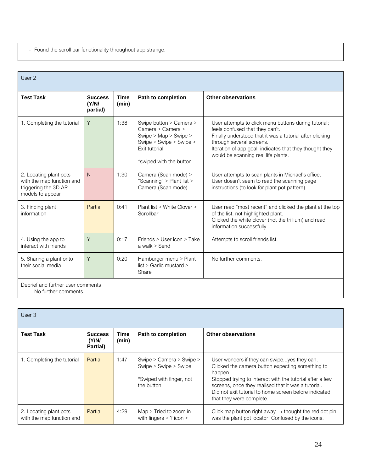- Found the scroll bar functionality throughout app strange.

| User 2                                                                                          |                                     |                      |                                                                                                                                              |                                                                                                                                                                                                                                                                                   |
|-------------------------------------------------------------------------------------------------|-------------------------------------|----------------------|----------------------------------------------------------------------------------------------------------------------------------------------|-----------------------------------------------------------------------------------------------------------------------------------------------------------------------------------------------------------------------------------------------------------------------------------|
| <b>Test Task</b>                                                                                | <b>Success</b><br>(Y/N)<br>partial) | <b>Time</b><br>(min) | Path to completion                                                                                                                           | <b>Other observations</b>                                                                                                                                                                                                                                                         |
| 1. Completing the tutorial                                                                      | Y                                   | 1:38                 | Swipe button > Camera ><br>Camera > Camera ><br>Swipe > Map > Swipe ><br>Swipe > Swipe > Swipe ><br>Exit tutorial<br>*swiped with the button | User attempts to click menu buttons during tutorial;<br>feels confused that they can't.<br>Finally understood that it was a tutorial after clicking<br>through several screens.<br>Iteration of app goal: indicates that they thought they<br>would be scanning real life plants. |
| 2. Locating plant pots<br>with the map function and<br>triggering the 3D AR<br>models to appear | N                                   | 1:30                 | Camera (Scan mode) ><br>"Scanning" > Plant list ><br>Camera (Scan mode)                                                                      | User attempts to scan plants in Michael's office.<br>User doesn't seem to read the scanning page<br>instructions (to look for plant pot pattern).                                                                                                                                 |
| 3. Finding plant<br>information                                                                 | Partial                             | 0:41                 | Plant list > White Clover ><br>Scrollbar                                                                                                     | User read "most recent" and clicked the plant at the top<br>of the list, not highlighted plant.<br>Clicked the white clover (not the trillium) and read<br>information successfully.                                                                                              |
| 4. Using the app to<br>interact with friends                                                    | Y                                   | 0:17                 | Friends > User icon > Take<br>a walk > Send                                                                                                  | Attempts to scroll friends list.                                                                                                                                                                                                                                                  |
| 5. Sharing a plant onto<br>their social media                                                   | Y                                   | 0:20                 | Hamburger menu > Plant<br>list > Garlic mustard ><br>Share                                                                                   | No further comments.                                                                                                                                                                                                                                                              |
| Debrief and further user comments                                                               |                                     |                      |                                                                                                                                              |                                                                                                                                                                                                                                                                                   |

- No further comments.

| User $3$                                            |                                     |               |                                                                                             |                                                                                                                                                                                                                                                                                                                    |  |  |
|-----------------------------------------------------|-------------------------------------|---------------|---------------------------------------------------------------------------------------------|--------------------------------------------------------------------------------------------------------------------------------------------------------------------------------------------------------------------------------------------------------------------------------------------------------------------|--|--|
| Test Task                                           | <b>Success</b><br>(Y/N)<br>Partial) | Time<br>(min) | Path to completion                                                                          | <b>Other observations</b>                                                                                                                                                                                                                                                                                          |  |  |
| 1. Completing the tutorial                          | Partial                             | 1:47          | Swipe > Camera > Swipe ><br>Swipe > Swipe > Swipe<br>*Swiped with finger, not<br>the button | User wonders if they can swipeyes they can.<br>Clicked the camera button expecting something to<br>happen.<br>Stopped trying to interact with the tutorial after a few<br>screens, once they realised that it was a tutorial.<br>Did not exit tutorial to home screen before indicated<br>that they were complete. |  |  |
| 2. Locating plant pots<br>with the map function and | Partial                             | 4:29          | $Map$ > Tried to zoom in<br>with fingers $>$ ? icon $>$                                     | Click map button right away $\rightarrow$ thought the red dot pin<br>was the plant pot locator. Confused by the icons.                                                                                                                                                                                             |  |  |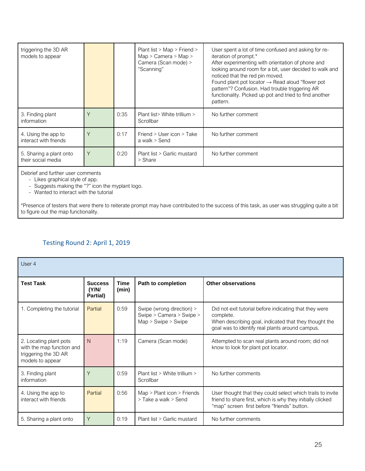| triggering the 3D AR<br>models to appear      |   |      | Plant list > Map > Friend ><br>Map > Camera > Map ><br>Camera (Scan mode) ><br>"Scanning" | User spent a lot of time confused and asking for re-<br>iteration of prompt.*<br>After experimenting with orientation of phone and<br>looking around room for a bit, user decided to walk and<br>noticed that the red pin moved.<br>Found plant pot locator $\rightarrow$ Read aloud "flower pot<br>pattern"? Confusion. Had trouble triggering AR<br>functionality. Picked up pot and tried to find another<br>pattern. |
|-----------------------------------------------|---|------|-------------------------------------------------------------------------------------------|--------------------------------------------------------------------------------------------------------------------------------------------------------------------------------------------------------------------------------------------------------------------------------------------------------------------------------------------------------------------------------------------------------------------------|
| 3. Finding plant<br>information               | Υ | 0:35 | Plant list > White trillium ><br>Scrollbar                                                | No further comment                                                                                                                                                                                                                                                                                                                                                                                                       |
| 4. Using the app to<br>interact with friends  | Υ | 0:17 | Friend $>$ User icon $>$ Take<br>a walk > Send                                            | No further comment                                                                                                                                                                                                                                                                                                                                                                                                       |
| 5. Sharing a plant onto<br>their social media | Y | 0:20 | Plant list > Garlic mustard<br>> Share                                                    | No further comment                                                                                                                                                                                                                                                                                                                                                                                                       |

Debrief and further user comments

- Likes graphical style of app.

- Suggests making the "?" icon the myplant logo.

- Wanted to interact with the tutorial

\*Presence of testers that were there to reiterate prompt may have contributed to the success of this task, as user was struggling quite a bit to figure out the map functionality.

#### Testing Round 2: April 1, 2019

| User 4                                                                                          |                                     |                      |                                                                                  |                                                                                                                                                                                 |
|-------------------------------------------------------------------------------------------------|-------------------------------------|----------------------|----------------------------------------------------------------------------------|---------------------------------------------------------------------------------------------------------------------------------------------------------------------------------|
| <b>Test Task</b>                                                                                | <b>Success</b><br>(Y/N)<br>Partial) | <b>Time</b><br>(min) | Path to completion                                                               | Other observations                                                                                                                                                              |
| 1. Completing the tutorial                                                                      | Partial                             | 0:59                 | Swipe (wrong direction) ><br>Swipe > Camera > Swipe ><br>$Map >$ Swipe $>$ Swipe | Did not exit tutorial before indicating that they were<br>complete.<br>When describing goal, indicated that they thought the<br>goal was to identify real plants around campus. |
| 2. Locating plant pots<br>with the map function and<br>triggering the 3D AR<br>models to appear | N                                   | 1:19                 | Camera (Scan mode)                                                               | Attempted to scan real plants around room; did not<br>know to look for plant pot locator.                                                                                       |
| 3. Finding plant<br>information                                                                 | Y                                   | 0:59                 | Plant list $>$ White trillium $>$<br>Scrollbar                                   | No further comments                                                                                                                                                             |
| 4. Using the app to<br>interact with friends                                                    | Partial                             | 0:56                 | Map > Plant icon > Friends<br>> Take a walk > Send                               | User thought that they could select which trails to invite<br>friend to share first, which is why they initially clicked<br>"map" screen first before "friends" button.         |
| 5. Sharing a plant onto                                                                         | Y                                   | 0:19                 | Plant list > Garlic mustard                                                      | No further comments                                                                                                                                                             |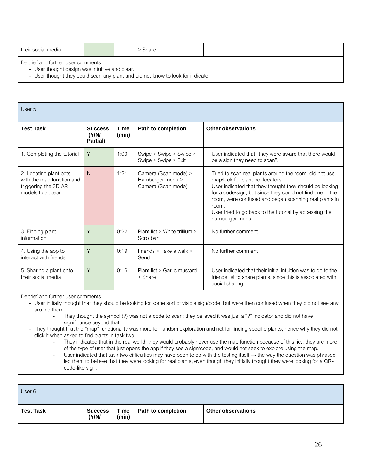| their social media                |  |  | Share |  |
|-----------------------------------|--|--|-------|--|
| Debrief and further user comments |  |  |       |  |

- User thought design was intuitive and clear.

- User thought they could scan any plant and did not know to look for indicator.

| User 5                                                                                          |                                     |                      |                                                                |                                                                                                                                                                                                                                                                                                                                                                  |  |
|-------------------------------------------------------------------------------------------------|-------------------------------------|----------------------|----------------------------------------------------------------|------------------------------------------------------------------------------------------------------------------------------------------------------------------------------------------------------------------------------------------------------------------------------------------------------------------------------------------------------------------|--|
| <b>Test Task</b>                                                                                | <b>Success</b><br>(Y/N)<br>Partial) | <b>Time</b><br>(min) | Path to completion                                             | Other observations                                                                                                                                                                                                                                                                                                                                               |  |
| 1. Completing the tutorial                                                                      | Y                                   | 1:00                 | Swipe > Swipe > Swipe ><br>Swipe > Swipe > Exit                | User indicated that "they were aware that there would<br>be a sign they need to scan".                                                                                                                                                                                                                                                                           |  |
| 2. Locating plant pots<br>with the map function and<br>triggering the 3D AR<br>models to appear | $\mathsf{N}$                        | 1:21                 | Camera (Scan mode) ><br>Hamburger menu ><br>Camera (Scan mode) | Tried to scan real plants around the room; did not use<br>map/look for plant pot locators.<br>User indicated that they thought they should be looking<br>for a code/sign, but since they could not find one in the<br>room, were confused and began scanning real plants in<br>room.<br>User tried to go back to the tutorial by accessing the<br>hamburger menu |  |
| 3. Finding plant<br>information                                                                 | Y                                   | 0:22                 | Plant list > White trillium ><br>Scrollbar                     | No further comment                                                                                                                                                                                                                                                                                                                                               |  |
| 4. Using the app to<br>interact with friends                                                    | Y                                   | 0:19                 | Friends > Take a walk ><br>Send                                | No further comment                                                                                                                                                                                                                                                                                                                                               |  |
| 5. Sharing a plant onto<br>their social media                                                   | Y                                   | 0:16                 | Plant list > Garlic mustard<br>$>$ Share                       | User indicated that their initial intuition was to go to the<br>friends list to share plants, since this is associated with<br>social sharing.                                                                                                                                                                                                                   |  |

Debrief and further user comments

- User initially thought that they should be looking for some sort of visible sign/code, but were then confused when they did not see any around them.

- They thought the symbol (?) was not a code to scan; they believed it was just a "?" indicator and did not have significance beyond that.
- They thought that the "map" functionality was more for random exploration and not for finding specific plants, hence why they did not click it when asked to find plants in task two.
	- They indicated that in the real world, they would probably never use the map function because of this; ie., they are more of the type of user that just opens the app if they see a sign/code, and would not seek to explore using the map.
	- User indicated that task two difficulties may have been to do with the testing itself  $\rightarrow$  the way the question was phrased led them to believe that they were looking for real plants, even though they initially thought they were looking for a QRcode-like sign.

| User 6           |                         |               |                    |                           |
|------------------|-------------------------|---------------|--------------------|---------------------------|
| <b>Test Task</b> | <b>Success</b><br>(Y/N) | Time<br>(min) | Path to completion | <b>Other observations</b> |